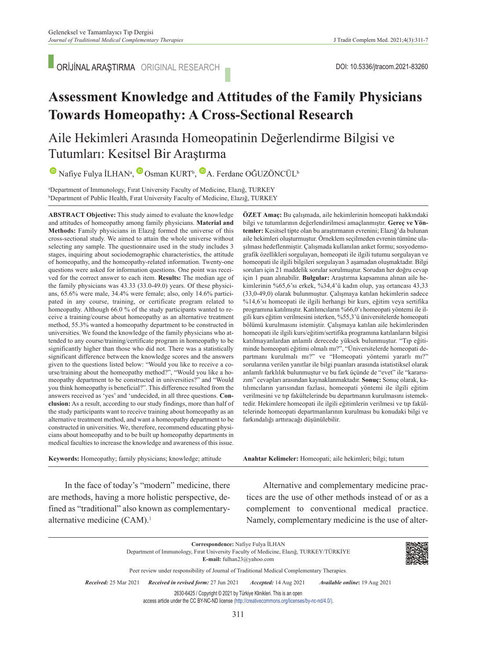ORİJİNAL ARAŞTIRMA ORIGINAL RESEARCH

# **Assessment Knowledge and Attitudes of the Family Physicians Towards Homeopathy: A Cross-Sectional Research**

# Aile Hekimleri Arasında Homeopatinin Değerlendirme Bilgisi ve Tutumları: Kesitsel Bir Araştırma

NafiyeFulya İLHAN<sup>a</sup>, Osman KURT<sup>b</sup>, A. Ferdane OĞUZÖNCÜL<sup>b</sup>

**a Department of Immunology, Firat University Faculty of Medicine, Elazığ, TURKEY**<br>PDepartment of Public Health, Fırat University Faculty of Medicine, Elazığ, TURKEY Department of Public Health, Fırat University Faculty of Medicine, Elazığ, TURKEY

**ABS TRACT Objective:** This study aimed to evaluate the knowledge and attitudes of homeopathy among family physicians. **Material and Methods:** Family physicians in Elazığ formed the universe of this cross-sectional study. We aimed to attain the whole universe without selecting any sample. The questionnaire used in the study includes 3 stages, inquiring about sociodemographic characteristics, the attitude of homeopathy, and the homeopathy-related information. Twenty-one questions were asked for information questions. One point was received for the correct answer to each item. **Results:** The median age of the family physicians was 43.33 (33.0-49.0) years. Of these physicians, 65.6% were male, 34.4% were female; also, only 14.6% participated in any course, training, or certificate program related to homeopathy. Although 66.0 % of the study participants wanted to receive a training/course about homeopathy as an alternative treatment method, 55.3% wanted a homeopathy department to be constructed in universities. We found the knowledge of the family physicians who attended to any course/training/certificate program in homeopathy to be significantly higher than those who did not. There was a statistically significant difference between the knowledge scores and the answers given to the questions listed below: "Would you like to receive a course/training about the homeopathy method?", "Would you like a homeopathy department to be constructed in universities?" and "Would you think homeopathy is beneficial?". This difference resulted from the answers received as 'yes' and 'undecided, in all three questions. **Conclusion:** As a result, according to our study findings, more than half of the study participants want to receive training about homeopathy as an alternative treatment method, and want a homeopathy department to be constructed in universities. We, therefore, recommend educating physicians about homeopathy and to be built up homeopathy departments in medical faculties to increase the knowledge and awareness of this issue.

**ÖZET Amaç:** Bu çalışmada, aile hekimlerinin homeopati hakkındaki bilgi ve tutumlarının değerlendirilmesi amaçlanmıştır. **Gereç ve Yöntemler:** Kesitsel tipte olan bu araştırmanın evrenini; Elazığ'da bulunan aile hekimleri oluşturmuştur. Örneklem seçilmeden evrenin tümüne ulaşılması hedeflenmiştir. Çalışmada kullanılan anket formu; sosyodemografik özellikleri sorgulayan, homeopati ile ilgili tutumu sorgulayan ve homeopati ile ilgili bilgileri sorgulayan 3 aşamadan oluşmaktadır. Bilgi soruları için 21 maddelik sorular sorulmuştur. Sorudan her doğru cevap için 1 puan alınabilir. **Bulgular:** Araştırma kapsamına alınan aile hekimlerinin %65,6'sı erkek, %34,4'ü kadın olup, yaş ortancası 43,33 (33,0-49,0) olarak bulunmuştur. Çalışmaya katılan hekimlerin sadece %14,6'sı homeopati ile ilgili herhangi bir kurs, eğitim veya sertifika programına katılmıştır. Katılımcıların %66,0'ı homeopati yöntemi ile ilgili kurs eğitim verilmesini isterken, %55,3'ü üniversitelerde homeopati bölümü kurulmasını istemiştir. Çalışmaya katılan aile hekimlerinden homeopati ile ilgili kurs/eğitim/sertifika programına katılanların bilgisi katılmayanlardan anlamlı derecede yüksek bulunmuştur. "Tıp eğitiminde homeopati eğitimi olmalı mı?", "Üniversitelerde homeopati departmanı kurulmalı mı?" ve "Homeopati yöntemi yararlı mı?" sorularına verilen yanıtlar ile bilgi puanları arasında istatistiksel olarak anlamlı farklılık bulunmuştur ve bu fark üçünde de "evet" ile "kararsızım" cevapları arasından kaynaklanmaktadır. **Sonuç:** Sonuç olarak, katılımcıların yarısından fazlası, homeopati yöntemi ile ilgili eğitim verilmesini ve tıp fakültelerinde bu departmanın kurulmasını istemektedir. Hekimlere homeopati ile ilgili eğitimlerin verilmesi ve tıp fakültelerinde homeopati departmanlarının kurulması bu konudaki bilgi ve farkındalığı arttıracağı düşünülebilir.

**Keywords:** Homeopathy; family physicians; knowledge; attitude

Anahtar Kelimeler: Homeopati; aile hekimleri; bilgi; tutum

In the face of today's "modern" medicine, there are methods, having a more holistic perspective, defined as "traditional" also known as complementaryalternative medicine  $(CAM)^1$ 

Alternative and complementary medicine practices are the use of other methods instead of or as a complement to conventional medical practice. Namely, complementary medicine is the use of alter-

| Correspondence: Nafiye Fulya İLHAN<br>Department of Immunology, Firat University Faculty of Medicine, Elazig, TURKEY/TÜRKİYE<br><b>E-mail:</b> fulhan23@yahoo.com |                                                                                                                                                                          |                              |                                      |  |  |
|-------------------------------------------------------------------------------------------------------------------------------------------------------------------|--------------------------------------------------------------------------------------------------------------------------------------------------------------------------|------------------------------|--------------------------------------|--|--|
| Peer review under responsibility of Journal of Traditional Medical Complementary Therapies.                                                                       |                                                                                                                                                                          |                              |                                      |  |  |
| <b>Received:</b> 25 Mar 2021                                                                                                                                      | Received in revised form: 27 Jun 2021                                                                                                                                    | <i>Accepted:</i> 14 Aug 2021 | <i>Available online:</i> 19 Aug 2021 |  |  |
|                                                                                                                                                                   | 2630-6425 / Copyright © 2021 by Türkiye Klinikleri. This is an open<br>access article under the CC BY-NC-ND license (http://creativecommons.org/licenses/by-nc-nd/4.0/). |                              |                                      |  |  |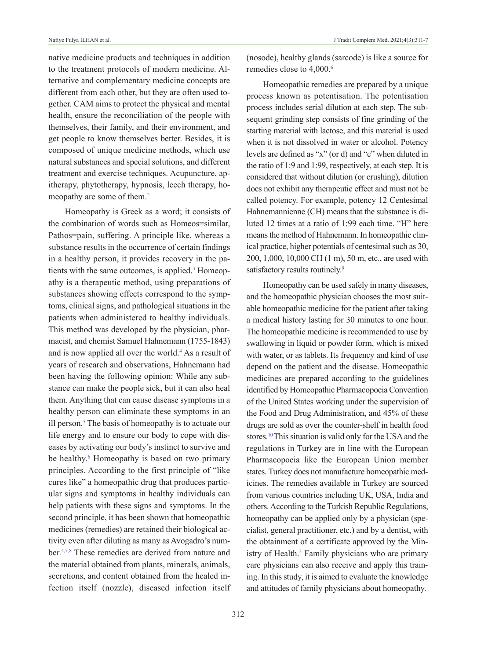native medicine products and techniques in addition to the treatment protocols of modern medicine. Alternative and complementary medicine concepts are different from each other, but they are often used together. CAM aims to protect the physical and mental health, ensure the reconciliation of the people with themselves, their family, and their environment, and get people to know themselves better. Besides, it is composed of unique medicine methods, which use natural substances and special solutions, and different treatment and exercise techniques. Acupuncture, apitherapy, phytotherapy, hypnosis, leech therapy, homeopathy are some of them.<sup>2</sup>

Homeopathy is Greek as a word; it consists of the combination of words such as Homeos=similar, Pathos=pain, suffering. A principle like, whereas a substance results in the occurrence of certain findings in a healthy person, it provides recovery in the patients with the same outcomes, is applied.<sup>3</sup> Homeopathy is a therapeutic method, using preparations of substances showing effects correspond to the symptoms, clinical signs, and pathological situations in the patients when administered to healthy individuals. This method was developed by the physician, pharmacist, and chemist Samuel Hahnemann (1755-1843) and is now applied all over the world.<sup>4</sup> As a result of years of research and observations, Hahnemann had been having the following opinion: While any substance can make the people sick, but it can also heal them. Anything that can cause disease symptoms in a healthy person can eliminate these symptoms in an ill person.<sup>5</sup> The basis of homeopathy is to actuate our life energy and to ensure our body to cope with diseases by activating our body's instinct to survive and be healthy.<sup>6</sup> Homeopathy is based on two primary principles. According to the first principle of "like cures like" a homeopathic drug that produces particular signs and symptoms in healthy individuals can help patients with these signs and symptoms. In the second principle, it has been shown that homeopathic medicines (remedies) are retained their biological activity even after diluting as many as Avogadro's number[.4,7,8](#page-5-0) These remedies are derived from nature and the material obtained from plants, minerals, animals, secretions, and content obtained from the healed infection itself (nozzle), diseased infection itself

(nosode), healthy glands (sarcode) is like a source for remedies close to 4,000.<sup>6</sup>

Homeopathic remedies are prepared by a unique process known as potentisation. The potentisation process includes serial dilution at each step. The subsequent grinding step consists of fine grinding of the starting material with lactose, and this material is used when it is not dissolved in water or alcohol. Potency levels are defined as "x" (or d) and "c" when diluted in the ratio of 1:9 and 1:99, respectively, at each step. It is considered that without dilution (or crushing), dilution does not exhibit any therapeutic effect and must not be called potency. For example, potency 12 Centesimal Hahnemannienne (CH) means that the substance is diluted 12 times at a ratio of 1:99 each time. "H" here means the method of Hahnemann. In homeopathic clinical practice, higher potentials of centesimal such as 30, 200, 1,000, 10,000 CH (1 m), 50 m, etc., are used with satisfactory results routinely.<sup>9</sup>

Homeopathy can be used safely in many diseases, and the homeopathic physician chooses the most suitable homeopathic medicine for the patient after taking a medical history lasting for 30 minutes to one hour. The homeopathic medicine is recommended to use by swallowing in liquid or powder form, which is mixed with water, or as tablets. Its frequency and kind of use depend on the patient and the disease. Homeopathic medicines are prepared according to the guidelines identified by Homeopathic Pharmacopoeia Convention of the United States working under the supervision of the Food and Drug Administration, and 45% of these drugs are sold as over the counter-shelf in health food stores[.10T](#page-5-0)his situation is valid only for the USA and the regulations in Turkey are in line with the European Pharmacopoeia like the European Union member states. Turkey does not manufacture homeopathic medicines. The remedies available in Turkey are sourced from various countries including UK, USA, India and others. According to the Turkish Republic Regulations, homeopathy can be applied only by a physician (specialist, general practitioner, etc.) and by a dentist, with the obtainment of a certificate approved by the Ministry of Health.<sup>3</sup> Family physicians who are primary care physicians can also receive and apply this training. In this study, it is aimed to evaluate the knowledge and attitudes of family physicians about homeopathy.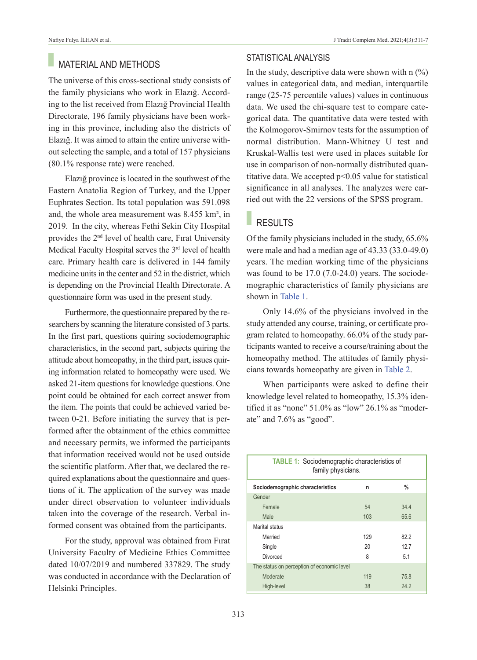## MATERIAL AND METHODS

The universe of this cross-sectional study consists of the family physicians who work in Elazığ. According to the list received from Elazığ Provincial Health Directorate, 196 family physicians have been working in this province, including also the districts of Elazığ. It was aimed to attain the entire universe without selecting the sample, and a total of 157 physicians (80.1% response rate) were reached.

Elazığ province is located in the southwest of the Eastern Anatolia Region of Turkey, and the Upper Euphrates Section. Its total population was 591.098 and, the whole area measurement was 8.455 km², in 2019. In the city, whereas Fethi Sekin City Hospital provides the 2nd level of health care, Fırat University Medical Faculty Hospital serves the 3rd level of health care. Primary health care is delivered in 144 family medicine units in the center and 52 in the district, which is depending on the Provincial Health Directorate. A questionnaire form was used in the present study.

Furthermore, the questionnaire prepared by the researchers by scanning the literature consisted of 3 parts. In the first part, questions quiring sociodemographic characteristics, in the second part, subjects quiring the attitude about homeopathy, in the third part, issues quiring information related to homeopathy were used. We asked 21-item questions for knowledge questions. One point could be obtained for each correct answer from the item. The points that could be achieved varied between 0-21. Before initiating the survey that is performed after the obtainment of the ethics committee and necessary permits, we informed the participants that information received would not be used outside the scientific platform. After that, we declared the required explanations about the questionnaire and questions of it. The application of the survey was made under direct observation to volunteer individuals taken into the coverage of the research. Verbal informed consent was obtained from the participants.

For the study, approval was obtained from Fırat University Faculty of Medicine Ethics Committee dated 10/07/2019 and numbered 337829. The study was conducted in accordance with the Declaration of Helsinki Principles.

### STATISTICAL ANALYSIS

In the study, descriptive data were shown with  $n \binom{0}{0}$ values in categorical data, and median, interquartile range (25-75 percentile values) values in continuous data. We used the chi-square test to compare categorical data. The quantitative data were tested with the Kolmogorov-Smirnov tests for the assumption of normal distribution. Mann-Whitney U test and Kruskal-Wallis test were used in places suitable for use in comparison of non-normally distributed quantitative data. We accepted p<0.05 value for statistical significance in all analyses. The analyzes were carried out with the 22 versions of the SPSS program.

### RESULTS

Of the family physicians included in the study, 65.6% were male and had a median age of 43.33 (33.0-49.0) years. The median working time of the physicians was found to be 17.0 (7.0-24.0) years. The sociodemographic characteristics of family physicians are shown in [Table 1.](#page-2-0)

Only 14.6% of the physicians involved in the study attended any course, training, or certificate program related to homeopathy. 66.0% of the study participants wanted to receive a course/training about the homeopathy method. The attitudes of family physicians towards homeopathy are given in [Table 2.](#page-3-0)

When participants were asked to define their knowledge level related to homeopathy, 15.3% identified it as "none" 51.0% as "low" 26.1% as "moderate" and 7.6% as "good".

<span id="page-2-0"></span>

| <b>TABLE 1:</b> Sociodemographic characteristics of<br>family physicians. |     |      |  |  |  |
|---------------------------------------------------------------------------|-----|------|--|--|--|
| Sociodemographic characteristics                                          | n   | %    |  |  |  |
| Gender                                                                    |     |      |  |  |  |
| Female                                                                    | 54  | 34.4 |  |  |  |
| Male                                                                      | 103 | 65.6 |  |  |  |
| Marital status                                                            |     |      |  |  |  |
| Married                                                                   | 129 | 822  |  |  |  |
| Single                                                                    | 20  | 12.7 |  |  |  |
| Divorced                                                                  | ጸ   | 5.1  |  |  |  |
| The status on perception of economic level                                |     |      |  |  |  |
| Moderate                                                                  | 119 | 75.8 |  |  |  |
| High-level                                                                | 38  | 24.2 |  |  |  |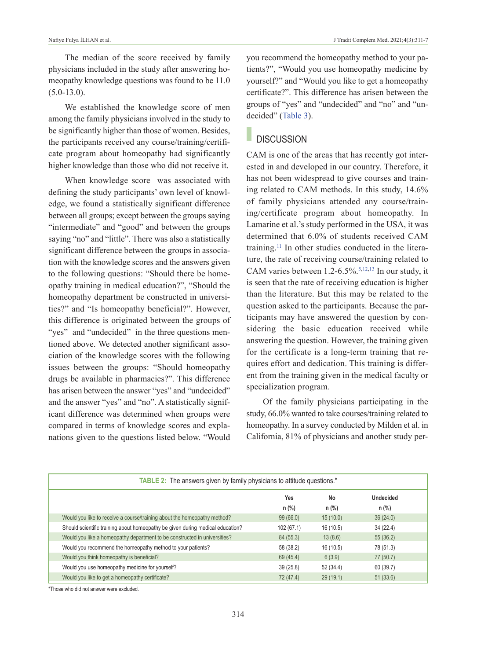The median of the score received by family physicians included in the study after answering homeopathy knowledge questions was found to be 11.0  $(5.0 - 13.0)$ .

We established the knowledge score of men among the family physicians involved in the study to be significantly higher than those of women. Besides, the participants received any course/training/certificate program about homeopathy had significantly higher knowledge than those who did not receive it.

When knowledge score was associated with defining the study participants' own level of knowledge, we found a statistically significant difference between all groups; except between the groups saying "intermediate" and "good" and between the groups saying "no" and "little". There was also a statistically significant difference between the groups in association with the knowledge scores and the answers given to the following questions: "Should there be homeopathy training in medical education?", "Should the homeopathy department be constructed in universities?" and "Is homeopathy beneficial?". However, this difference is originated between the groups of "yes" and "undecided" in the three questions mentioned above. We detected another significant association of the knowledge scores with the following issues between the groups: "Should homeopathy drugs be available in pharmacies?". This difference has arisen between the answer "yes" and "undecided" and the answer "yes" and "no". A statistically significant difference was determined when groups were compared in terms of knowledge scores and explanations given to the questions listed below. "Would you recommend the homeopathy method to your patients?", "Would you use homeopathy medicine by yourself?" and "Would you like to get a homeopathy certificate?". This difference has arisen between the groups of "yes" and "undecided" and "no" and "undecided" [\(Table 3\)](#page-5-0).

# **DISCUSSION**

CAM is one of the areas that has recently got interested in and developed in our country. Therefore, it has not been widespread to give courses and training related to CAM methods. In this study, 14.6% of family physicians attended any course/training/certificate program about homeopathy. In Lamarine et al.'s study performed in the USA, it was determined that 6.0% of students received CAM training[.11](#page-5-0) In other studies conducted in the literature, the rate of receiving course/training related to CAM varies between  $1.2 - 6.5\%$ .<sup>5,12,13</sup> In our study, it is seen that the rate of receiving education is higher than the literature. But this may be related to the question asked to the participants. Because the participants may have answered the question by considering the basic education received while answering the question. However, the training given for the certificate is a long-term training that requires effort and dedication. This training is different from the training given in the medical faculty or specialization program.

<span id="page-3-0"></span>Of the family physicians participating in the study, 66.0% wanted to take courses/training related to homeopathy. In a survey conducted by Milden et al. in California, 81% of physicians and another study per-

| <b>TABLE 2:</b> The answers given by family physicians to attitude questions.* |           |           |                  |  |  |  |
|--------------------------------------------------------------------------------|-----------|-----------|------------------|--|--|--|
|                                                                                | Yes       | No        | <b>Undecided</b> |  |  |  |
|                                                                                | $n$ (%)   | $n$ (%)   | $n$ (%)          |  |  |  |
| Would you like to receive a course/training about the homeopathy method?       | 99(66.0)  | 15(10.0)  | 36(24.0)         |  |  |  |
| Should scientific training about homeopathy be given during medical education? | 102(67.1) | 16(10.5)  | 34 (22.4)        |  |  |  |
| Would you like a homeopathy department to be constructed in universities?      | 84(55.3)  | 13(8.6)   | 55(36.2)         |  |  |  |
| Would you recommend the homeopathy method to your patients?                    | 58 (38.2) | 16(10.5)  | 78 (51.3)        |  |  |  |
| Would you think homeopathy is beneficial?                                      | 69 (45.4) | 6(3.9)    | 77 (50.7)        |  |  |  |
| Would you use homeopathy medicine for yourself?                                | 39(25.8)  | 52 (34.4) | 60 (39.7)        |  |  |  |
| Would you like to get a homeopathy certificate?                                | 72 (47.4) | 29(19.1)  | 51(33.6)         |  |  |  |

\*Those who did not answer were excluded.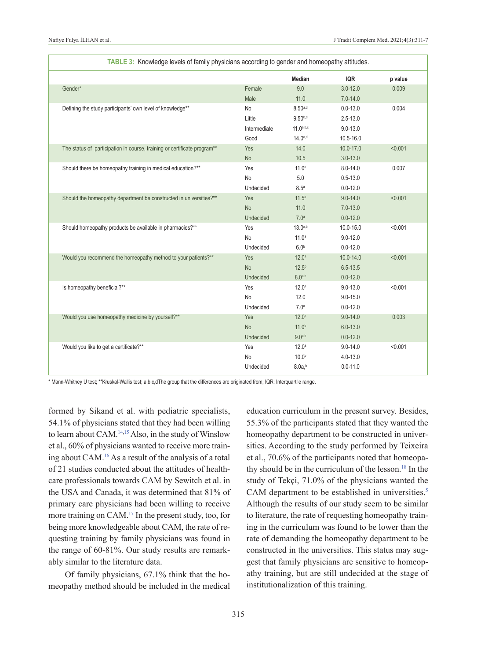| TABLE 3: Knowledge levels of family physicians according to gender and homeopathy attitudes. |              |                   |               |         |  |  |  |
|----------------------------------------------------------------------------------------------|--------------|-------------------|---------------|---------|--|--|--|
|                                                                                              |              | Median            | <b>IQR</b>    | p value |  |  |  |
| Gender*                                                                                      | Female       | 9.0               | $3.0 - 12.0$  | 0.009   |  |  |  |
|                                                                                              | Male         | 11.0              | $7.0 - 14.0$  |         |  |  |  |
| Defining the study participants' own level of knowledge**                                    | <b>No</b>    | $8.50^{a,d}$      | $0.0 - 13.0$  | 0.004   |  |  |  |
|                                                                                              | Little       | $9.50^{b,d}$      | $2.5 - 13.0$  |         |  |  |  |
|                                                                                              | Intermediate | 11.0a,b,c         | $9.0 - 13.0$  |         |  |  |  |
|                                                                                              | Good         | $14.0^{a,d}$      | 10.5-16.0     |         |  |  |  |
| The status of participation in course, training or certificate program**                     | Yes          | 14.0              | 10.0-17.0     | < 0.001 |  |  |  |
|                                                                                              | No           | 10.5              | $3.0 - 13.0$  |         |  |  |  |
| Should there be homeopathy training in medical education?**                                  | Yes          | 11.0 <sup>a</sup> | $8.0 - 14.0$  | 0.007   |  |  |  |
|                                                                                              | No           | 5.0               | $0.5 - 13.0$  |         |  |  |  |
|                                                                                              | Undecided    | 8.5 <sup>a</sup>  | $0.0 - 12.0$  |         |  |  |  |
| Should the homeopathy department be constructed in universities?**                           | Yes          | 11.5 <sup>a</sup> | $9.0 - 14.0$  | < 0.001 |  |  |  |
|                                                                                              | <b>No</b>    | 11.0              | $7.0 - 13.0$  |         |  |  |  |
|                                                                                              | Undecided    | 7.0 <sup>a</sup>  | $0.0 - 12.0$  |         |  |  |  |
| Should homeopathy products be available in pharmacies?**                                     | Yes          | $13.0^{a,b}$      | 10.0-15.0     | < 0.001 |  |  |  |
|                                                                                              | <b>No</b>    | 11.0 <sup>a</sup> | $9.0 - 12.0$  |         |  |  |  |
|                                                                                              | Undecided    | 6.0 <sup>b</sup>  | $0.0 - 12.0$  |         |  |  |  |
| Would you recommend the homeopathy method to your patients?**                                | Yes          | 12.0 <sup>a</sup> | $10.0 - 14.0$ | < 0.001 |  |  |  |
|                                                                                              | <b>No</b>    | 12.5 <sup>b</sup> | $6.5 - 13.5$  |         |  |  |  |
|                                                                                              | Undecided    | $8.0^{a,b}$       | $0.0 - 12.0$  |         |  |  |  |
| Is homeopathy beneficial?**                                                                  | Yes          | 12.0 <sup>a</sup> | $9.0 - 13.0$  | < 0.001 |  |  |  |
|                                                                                              | <b>No</b>    | 12.0              | $9.0 - 15.0$  |         |  |  |  |
|                                                                                              | Undecided    | 7.0 <sup>a</sup>  | $0.0 - 12.0$  |         |  |  |  |
| Would you use homeopathy medicine by yourself?**                                             | Yes          | 12.0 <sup>a</sup> | $9.0 - 14.0$  | 0.003   |  |  |  |
|                                                                                              | <b>No</b>    | 11.0 <sup>b</sup> | $6.0 - 13.0$  |         |  |  |  |
|                                                                                              | Undecided    | $9.0^{a,b}$       | $0.0 - 12.0$  |         |  |  |  |
| Would you like to get a certificate?**                                                       | Yes          | 12.0 <sup>a</sup> | $9.0 - 14.0$  | < 0.001 |  |  |  |
|                                                                                              | No           | 10.0 <sup>b</sup> | $4.0 - 13.0$  |         |  |  |  |
|                                                                                              | Undecided    | $8.0a^{b}$        | $0.0 - 11.0$  |         |  |  |  |

\* Mann-Whitney U test; \*\*Kruskal-Wallis test; a,b,c,dThe group that the differences are originated from; IQR: Interquartile range.

formed by Sikand et al. with pediatric specialists, 54.1% of physicians stated that they had been willing to learn about CAM[.14,15](#page-5-0) Also, in the study of Winslow et al., 60% of physicians wanted to receive more training about CAM[.16](#page-5-0) As a result of the analysis of a total of 21 studies conducted about the attitudes of healthcare professionals towards CAM by Sewitch et al. in the USA and Canada, it was determined that 81% of primary care physicians had been willing to receive more training on CAM[.17](#page-5-0) In the present study, too, for being more knowledgeable about CAM, the rate of requesting training by family physicians was found in the range of 60-81%. Our study results are remarkably similar to the literature data.

Of family physicians, 67.1% think that the homeopathy method should be included in the medical education curriculum in the present survey. Besides, 55.3% of the participants stated that they wanted the homeopathy department to be constructed in universities. According to the study performed by Teixeira et al., 70.6% of the participants noted that homeopathy should be in the curriculum of the lesson.<sup>18</sup> In the study of Tekçi, 71.0% of the physicians wanted the CAM department to be established in universities.<sup>5</sup> Although the results of our study seem to be similar to literature, the rate of requesting homeopathy training in the curriculum was found to be lower than the rate of demanding the homeopathy department to be constructed in the universities. This status may suggest that family physicians are sensitive to homeopathy training, but are still undecided at the stage of institutionalization of this training.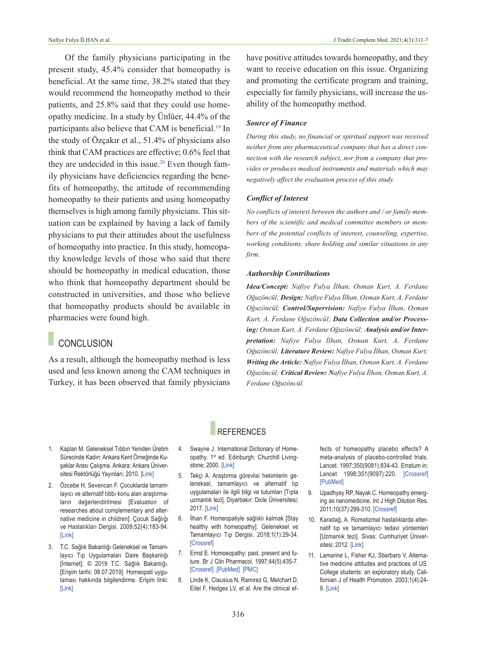Of the family physicians participating in the present study, 45.4% consider that homeopathy is beneficial. At the same time, 38.2% stated that they would recommend the homeopathy method to their patients, and 25.8% said that they could use homeopathy medicine. In a study by Ünlüer, 44.4% of the participants also believe that CAM is beneficial.<sup>19</sup> In the study of Özçakır et al., 51.4% of physicians also think that CAM practices are effective; 0.6% feel that they are undecided in this issue.<sup>20</sup> Even though family physicians have deficiencies regarding the benefits of homeopathy, the attitude of recommending homeopathy to their patients and using homeopathy themselves is high among family physicians. This situation can be explained by having a lack of family physicians to put their attitudes about the usefulness of homeopathy into practice. In this study, homeopathy knowledge levels of those who said that there should be homeopathy in medical education, those who think that homeopathy department should be constructed in universities, and those who believe that homeopathy products should be available in pharmacies were found high.

## **CONCLUSION**

As a result, although the homeopathy method is less used and less known among the CAM techniques in Turkey, it has been observed that family physicians have positive attitudes towards homeopathy, and they want to receive education on this issue. Organizing and promoting the certificate program and training, especially for family physicians, will increase the usability of the homeopathy method.

### *Source of Finance*

*During this study, no financial or spiritual support was received neither from any pharmaceutical company that has a direct connection with the research subject, nor from a company that provides or produces medical instruments and materials which may negatively affect the evaluation process of this study.* 

#### *Conflict of Interest*

*No conflicts of interest between the authors and / or family members of the scientific and medical committee members or members of the potential conflicts of interest, counseling, expertise, working conditions, share holding and similar situations in any firm.* 

#### *Authorship Contributions*

*Idea/Concept: Nafiye Fulya İlhan, Osman Kurt, A. Ferdane Oğuzöncül; Design: Nafiye Fulya İlhan, Osman Kurt, A. Ferdane Oğuzöncül; Control/Supervision: Nafiye Fulya İlhan, Osman Kurt, A. Ferdane Oğuzöncül; Data Collection and/or Processing: Osman Kurt, A. Ferdane Oğuzöncül; Analysis and/or Interpretation: Nafiye Fulya İlhan, Osman Kurt, A. Ferdane Oğuzöncül; Literature Review: Nafiye Fulya İlhan, Osman Kurt; Writing the Article: Nafiye Fulya İlhan, Osman Kurt, A. Ferdane Oğuzöncül; Critical Review: Nafiye Fulya İlhan, Osman Kurt, A. Ferdane Oğuzöncül.*

- 1. Kaplan M. Geleneksel Tıbbın Yeniden Üretim Sürecinde Kadın: Ankara Kent Örneğinde Kuşaklar Arası Çalışma. Ankara: Ankara Üniversitesi Rektörlüğü Yayınları; 2010. [\[Link\]](https://dspace.ankara.edu.tr/xmlui/bitstream/handle/20.500.12575/10790/Geleneksel%20T%C4%B1bb%C4%B1n%20Yeniden%20%C3%9Cretim%20S%C3%BCrecinde%20Kad%C4%B1n.pdf)
- 2. Özcebe H, Sevencan F. Çocuklarda tamamlayıcı ve alternatif tıbbı konu alan araştırmaların değerlendirilmesi [Evaluation of researches about complementary and alternative medicine in children]. Çocuk Sağlığı ve Hastalıkları Dergisi. 2009;52(4):183-94. [\[Link\]](http://www.cshd.org.tr/abstract.php?lang=en&id=352)
- 3. T.C. Sağlık Bakanlığı Geleneksel ve Tamamlayıcı Tıp Uygulamaları Daire Başkanlığı [İnternet]. © 2019 T.C. Sağlık Bakanlığı. [Erişim tarihi: 08.07.2019]. Homeopati uygulaması hakkında bilgilendirme. Erişim linki: [\[Link\]](https://shgmgetatdb.saglik.gov.tr/TR,24680/homeopati-uygulamasi-hakkinda-bilgilendirme.html)

## **REFERENCES**

- 4. Swayne J. International Dictionary of Homeopathy. 1<sup>st</sup> ed. Edinburgh: Churchill Livingstone; 2000. [\[Link\]](https://www.amazon.com/International-Dictionary-Homeopathy-Jeremy-Swayne/dp/0443060096)
- 5. Tekçi A. Araştırma görevlisi hekimlerin geleneksel, tamamlayıcı ve alternatif tıp uygulamaları ile ilgili bilgi ve tutumları [Tıpta uzmanlık tezi]. Diyarbakır: Dicle Üniversitesi; 2017. [\[Link\]](http://acikerisim.dicle.edu.tr/xmlui/handle/11468/4012)
- 6. İlhan F. Homeopatiyle sağlıklı kalmak [Stay healthy with homeopathy]. Geleneksel ve Tamamlayıcı Tıp Dergisi. 2018;1(1):29-34. [\[Crossref\]](https://www.turkiyeklinikleri.com/article/en-stay-healthy-with-homeopathy-81313.html)
- 7. Ernst E. Homoeopathy: past, present and future. Br J Clin Pharmacol. 1997;44(5):435-7. [\[Crossref\]](https://bpspubs.onlinelibrary.wiley.com/doi/abs/10.1046/j.1365-2125.1997.t01-1-00611.x) [\[PubMed\]](https://pubmed.ncbi.nlm.nih.gov/9384459/) [\[PMC\]](https://www.ncbi.nlm.nih.gov/pmc/articles/PMC2042876/)
- 8. Linde K, Clausius N, Ramirez G, Melchart D, Eitel F, Hedges LV, et al. Are the clinical ef-

<span id="page-5-0"></span>fects of homeopathy placebo effects? A meta-analysis of placebo-controlled trials. Lancet. 1997;350(9081):834-43. Erratum in: Lancet 1998;351(9097):220. [\[Crossref\]](https://www.sciencedirect.com/science/article/abs/pii/S0140673697022939?via%3Dihub) [\[PubMed\]](https://pubmed.ncbi.nlm.nih.gov/9310601/)

- 9. Upadhyay RP, Nayak C. Homeopathy emerging as nanomedicine. Int J High Dilution Res. 2011;10(37):299-310. [\[Crossref\]](https://highdilution.org/index.php/ijhdr/article/view/525)
- 10. Karadağ, A. Romatizmal hastalıklarda alternatif tıp ve tamamlayıcı tedavi yöntemleri [Uzmanlık tezi]. Sivas: Cumhuriyet Üniver-sitesi; 2012. [\[Link\]](https://www.ulusaltezmerkezi.net/romatizmal-hastaliklarda-alternatif-tip-ve-tamamlayaci-tedavi-yontemleri/)
- 11. Lamarine L, Fisher KJ, Sbarbaro V. Alternative medicine attitudes and practices of US. College students: an exploratory study. Californian J of Health Promotion. 2003;1(4):24- 9. [\[Link\]](https://pdfs.semanticscholar.org/23d8/797bf5314e43fc755b038cb87c1006368568.pdf?_ga=2.211982231.207332778.1629202219-1043041819.1598265778)